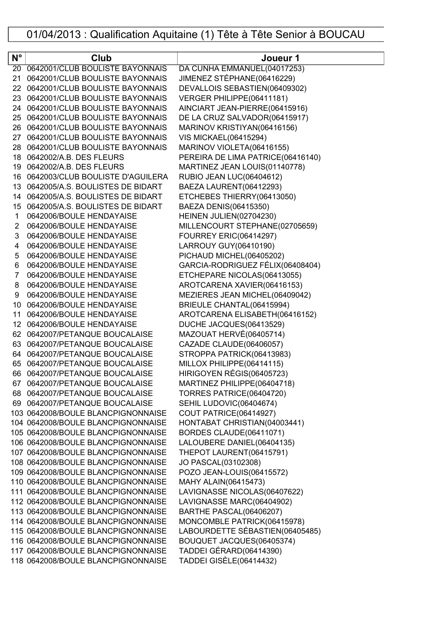## 01/04/2013 : Qualification Aquitaine (1) Tête à Tête Senior à BOUCAU

| $N^{\circ}$ | Club                                                             | Joueur 1                                                |
|-------------|------------------------------------------------------------------|---------------------------------------------------------|
| 20          | 0642001/CLUB BOULISTE BAYONNAIS                                  | DA CUNHA EMMANUEL(04017253)                             |
| 21          | 0642001/CLUB BOULISTE BAYONNAIS                                  | JIMENEZ STÉPHANE(06416229)                              |
| 22          | 0642001/CLUB BOULISTE BAYONNAIS                                  | DEVALLOIS SEBASTIEN(06409302)                           |
| 23          | 0642001/CLUB BOULISTE BAYONNAIS                                  | VERGER PHILIPPE(06411181)                               |
| 24          | 0642001/CLUB BOULISTE BAYONNAIS                                  | AINCIART JEAN-PIERRE(06415916)                          |
| 25          | 0642001/CLUB BOULISTE BAYONNAIS                                  | DE LA CRUZ SALVADOR(06415917)                           |
| 26          | 0642001/CLUB BOULISTE BAYONNAIS                                  | MARINOV KRISTIYAN(06416156)                             |
| 27          | 0642001/CLUB BOULISTE BAYONNAIS                                  | <b>VIS MICKAEL(06415294)</b>                            |
| 28          | 0642001/CLUB BOULISTE BAYONNAIS                                  | MARINOV VIOLETA(06416155)                               |
| 18          | 0642002/A.B. DES FLEURS                                          | PEREIRA DE LIMA PATRICE(06416140)                       |
| 19          | 0642002/A.B. DES FLEURS                                          | MARTINEZ JEAN LOUIS(01140778)                           |
| 16          | 0642003/CLUB BOULISTE D'AGUILERA                                 | <b>RUBIO JEAN LUC(06404612)</b>                         |
| 13          | 0642005/A.S. BOULISTES DE BIDART                                 | BAEZA LAURENT(06412293)                                 |
| 14          | 0642005/A.S. BOULISTES DE BIDART                                 | ETCHEBES THIERRY(06413050)                              |
| 15          | 0642005/A.S. BOULISTES DE BIDART                                 | BAEZA DENIS(06415350)                                   |
| 1           | 0642006/BOULE HENDAYAISE                                         | HEINEN JULIEN(02704230)                                 |
| 2           | 0642006/BOULE HENDAYAISE                                         | MILLENCOURT STEPHANE(02705659)                          |
| 3           | 0642006/BOULE HENDAYAISE                                         | <b>FOURREY ERIC(06414297)</b>                           |
| 4           | 0642006/BOULE HENDAYAISE                                         | LARROUY GUY(06410190)                                   |
| 5           | 0642006/BOULE HENDAYAISE                                         | PICHAUD MICHEL(06405202)                                |
| 6           | 0642006/BOULE HENDAYAISE                                         | GARCIA-RODRIGUEZ FÉLIX(06408404)                        |
| 7           | 0642006/BOULE HENDAYAISE                                         | ETCHEPARE NICOLAS(06413055)                             |
| 8           | 0642006/BOULE HENDAYAISE                                         | AROTCARENA XAVIER(06416153)                             |
| 9           | 0642006/BOULE HENDAYAISE                                         | MEZIERES JEAN MICHEL(06409042)                          |
| 10          | 0642006/BOULE HENDAYAISE                                         | BRIEULE CHANTAL(06415994)                               |
| 11          | 0642006/BOULE HENDAYAISE                                         | AROTCARENA ELISABETH(06416152)                          |
| 12          | 0642006/BOULE HENDAYAISE                                         | DUCHE JACQUES(06413529)                                 |
| 62          | 0642007/PETANQUE BOUCALAISE                                      | MAZOUAT HERVÉ(06405714)                                 |
| 63          | 0642007/PETANQUE BOUCALAISE                                      | CAZADE CLAUDE(06406057)                                 |
| 64          | 0642007/PETANQUE BOUCALAISE                                      | STROPPA PATRICK(06413983)                               |
| 65          | 0642007/PETANQUE BOUCALAISE                                      | MILLOX PHILIPPE(06414115)                               |
| 66          | 0642007/PETANQUE BOUCALAISE                                      | HIRIGOYEN RÉGIS(06405723)                               |
|             | 67 0642007/PETANQUE BOUCALAISE<br>68 0642007/PETANQUE BOUCALAISE | MARTINEZ PHILIPPE(06404718)<br>TORRES PATRICE(06404720) |
|             | 69 0642007/PETANQUE BOUCALAISE                                   | SEHIL LUDOVIC(06404674)                                 |
|             | 103 0642008/BOULE BLANCPIGNONNAISE                               | <b>COUT PATRICE(06414927)</b>                           |
|             | 104 0642008/BOULE BLANCPIGNONNAISE                               | HONTABAT CHRISTIAN(04003441)                            |
|             | 105 0642008/BOULE BLANCPIGNONNAISE                               | BORDES CLAUDE(06411071)                                 |
|             | 106 0642008/BOULE BLANCPIGNONNAISE                               | LALOUBERE DANIEL(06404135)                              |
|             | 107 0642008/BOULE BLANCPIGNONNAISE                               | THEPOT LAURENT(06415791)                                |
|             | 108 0642008/BOULE BLANCPIGNONNAISE                               | JO PASCAL(03102308)                                     |
|             | 109 0642008/BOULE BLANCPIGNONNAISE                               | POZO JEAN-LOUIS(06415572)                               |
|             | 110 0642008/BOULE BLANCPIGNONNAISE                               | MAHY ALAIN(06415473)                                    |
|             | 111 0642008/BOULE BLANCPIGNONNAISE                               | LAVIGNASSE NICOLAS(06407622)                            |
|             | 112 0642008/BOULE BLANCPIGNONNAISE                               | LAVIGNASSE MARC(06404902)                               |
|             | 113 0642008/BOULE BLANCPIGNONNAISE                               | BARTHE PASCAL(06406207)                                 |
|             | 114 0642008/BOULE BLANCPIGNONNAISE                               | MONCOMBLE PATRICK(06415978)                             |
|             | 115 0642008/BOULE BLANCPIGNONNAISE                               | LABOURDETTE SÉBASTIEN(06405485)                         |
|             | 116 0642008/BOULE BLANCPIGNONNAISE                               | BOUQUET JACQUES(06405374)                               |
|             | 117 0642008/BOULE BLANCPIGNONNAISE                               | TADDEI GÉRARD(06414390)                                 |
|             | 118 0642008/BOULE BLANCPIGNONNAISE                               | TADDEI GISÈLE(06414432)                                 |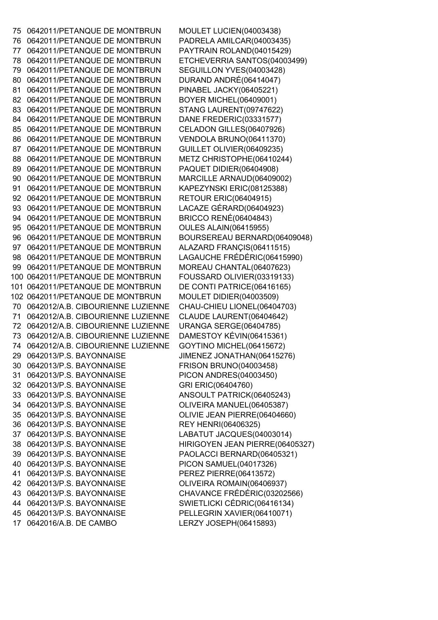0642011/PETANQUE DE MONTBRUN MOULET LUCIEN(04003438) 0642011/PETANQUE DE MONTBRUN PADRELA AMILCAR(04003435) 0642011/PETANQUE DE MONTBRUN PAYTRAIN ROLAND(04015429) 0642011/PETANQUE DE MONTBRUN ETCHEVERRIA SANTOS(04003499) 0642011/PETANQUE DE MONTBRUN SEGUILLON YVES(04003428) 0642011/PETANQUE DE MONTBRUN DURAND ANDRÉ(06414047) 0642011/PETANQUE DE MONTBRUN PINABEL JACKY(06405221) 0642011/PETANQUE DE MONTBRUN BOYER MICHEL(06409001) 0642011/PETANQUE DE MONTBRUN STANG LAURENT(09747622) 0642011/PETANQUE DE MONTBRUN DANE FREDERIC(03331577) 0642011/PETANQUE DE MONTBRUN CELADON GILLES(06407926) 0642011/PETANQUE DE MONTBRUN VENDOLA BRUNO(06411370) 0642011/PETANQUE DE MONTBRUN GUILLET OLIVIER(06409235) 0642011/PETANQUE DE MONTBRUN METZ CHRISTOPHE(06410244) 0642011/PETANQUE DE MONTBRUN PAQUET DIDIER(06404908) 0642011/PETANQUE DE MONTBRUN MARCILLE ARNAUD(06409002) 0642011/PETANQUE DE MONTBRUN KAPEZYNSKI ERIC(08125388) 0642011/PETANQUE DE MONTBRUN RETOUR ERIC(06404915) 0642011/PETANQUE DE MONTBRUN LACAZE GÉRARD(06404923) 0642011/PETANQUE DE MONTBRUN BRICCO RENÉ(06404843) 0642011/PETANQUE DE MONTBRUN OULES ALAIN(06415955) 0642011/PETANQUE DE MONTBRUN BOURSEREAU BERNARD(06409048) 0642011/PETANQUE DE MONTBRUN ALAZARD FRANÇIS(06411515) 0642011/PETANQUE DE MONTBRUN LAGAUCHE FRÉDÉRIC(06415990) 0642011/PETANQUE DE MONTBRUN MOREAU CHANTAL(06407623) 0642011/PETANQUE DE MONTBRUN FOUSSARD OLIVIER(03319133) 0642011/PETANQUE DE MONTBRUN DE CONTI PATRICE(06416165) 0642011/PETANQUE DE MONTBRUN MOULET DIDIER(04003509) 0642012/A.B. CIBOURIENNE LUZIENNE CHAU-CHIEU LIONEL(06404703) 0642012/A.B. CIBOURIENNE LUZIENNE CLAUDE LAURENT(06404642) 0642012/A.B. CIBOURIENNE LUZIENNE URANGA SERGE(06404785) 0642012/A.B. CIBOURIENNE LUZIENNE DAMESTOY KÉVIN(06415361) 0642012/A.B. CIBOURIENNE LUZIENNE GOYTINO MICHEL(06415672) 0642013/P.S. BAYONNAISE JIMENEZ JONATHAN(06415276) 0642013/P.S. BAYONNAISE FRISON BRUNO(04003458) 0642013/P.S. BAYONNAISE PICON ANDRES(04003450) 0642013/P.S. BAYONNAISE GRI ERIC(06404760) 0642013/P.S. BAYONNAISE ANSOULT PATRICK(06405243) 0642013/P.S. BAYONNAISE OLIVEIRA MANUEL(06405387) 0642013/P.S. BAYONNAISE OLIVIE JEAN PIERRE(06404660) 0642013/P.S. BAYONNAISE REY HENRI(06406325) 0642013/P.S. BAYONNAISE LABATUT JACQUES(04003014) 0642013/P.S. BAYONNAISE HIRIGOYEN JEAN PIERRE(06405327) 0642013/P.S. BAYONNAISE PAOLACCI BERNARD(06405321) 0642013/P.S. BAYONNAISE PICON SAMUEL(04017326) 0642013/P.S. BAYONNAISE PEREZ PIERRE(06413572) 0642013/P.S. BAYONNAISE OLIVEIRA ROMAIN(06406937) 0642013/P.S. BAYONNAISE CHAVANCE FRÉDÉRIC(03202566) 0642013/P.S. BAYONNAISE SWIETLICKI CÉDRIC(06416134) 0642013/P.S. BAYONNAISE PELLEGRIN XAVIER(06410071) 0642016/A.B. DE CAMBO LERZY JOSEPH(06415893)